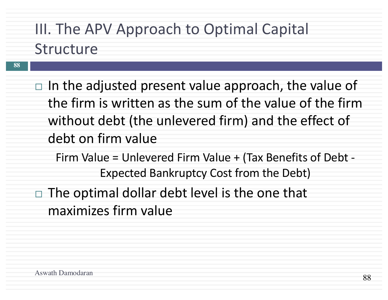# III. The APV Approach to Optimal Capital Structure

- **88**
- $\Box$  In the adjusted present value approach, the value of the firm is written as the sum of the value of the firm without debt (the unlevered firm) and the effect of debt on firm value
	- Firm Value = Unlevered Firm Value + (Tax Benefits of Debt Expected Bankruptcy Cost from the Debt)
- $\Box$  The optimal dollar debt level is the one that maximizes firm value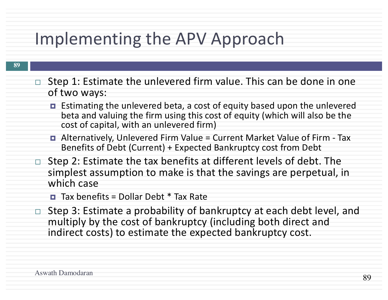# Implementing the APV Approach

- Step 1: Estimate the unlevered firm value. This can be done in one of two ways:
	- Estimating the unlevered beta, a cost of equity based upon the unlevered beta and valuing the firm using this cost of equity (which will also be the cost of capital, with an unlevered firm)
	- ¤ Alternatively, Unlevered Firm Value = Current Market Value of Firm Tax Benefits of Debt (Current) + Expected Bankruptcy cost from Debt
- Step 2: Estimate the tax benefits at different levels of debt. The simplest assumption to make is that the savings are perpetual, in which case
	- ¤ Tax benefits = Dollar Debt \* Tax Rate
- $\Box$  Step 3: Estimate a probability of bankruptcy at each debt level, and multiply by the cost of bankruptcy (including both direct and indirect costs) to estimate the expected bankruptcy cost.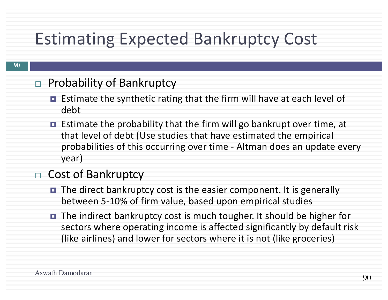# Estimating Expected Bankruptcy Cost

#### $\Box$  Probability of Bankruptcy

- Estimate the synthetic rating that the firm will have at each level of debt
- ¤ Estimate the probability that the firm will go bankrupt over time, at that level of debt (Use studies that have estimated the empirical probabilities of this occurring over time - Altman does an update every year)

#### $\Box$  Cost of Bankruptcy

- The direct bankruptcy cost is the easier component. It is generally between 5-10% of firm value, based upon empirical studies
- The indirect bankruptcy cost is much tougher. It should be higher for sectors where operating income is affected significantly by default risk (like airlines) and lower for sectors where it is not (like groceries)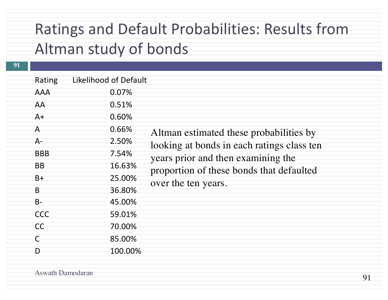## Ratings and Default Probabilities: Results from Altman study of bonds

**91**

| Rating    | <b>Likelihood of Default</b> |                       |
|-----------|------------------------------|-----------------------|
| AAA       | 0.07%                        |                       |
| AA        | 0.51%                        |                       |
| $A+$      | 0.60%                        |                       |
| A         | 0.66%                        | $\bm{\mathsf{A}}$     |
| $A -$     | 2.50%                        | 10                    |
| BBB       | 7.54%                        | y                     |
| ΒB        | 16.63%                       |                       |
| B+        | 25.00%                       | p                     |
| B         | 36.80%                       | $\overline{\text{O}}$ |
| <b>B-</b> | 45.00%                       |                       |
| CCC       | 59.01%                       |                       |
| CC        | 70.00%                       |                       |
| C         | 85.00%                       |                       |
| D         | 100.00%                      |                       |

Altman estimated these probabilities by looking at bonds in each ratings class ten years prior and then examining the proportion of these bonds that defaulted over the ten years.

Aswath Damodaran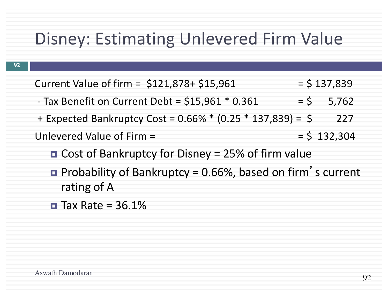## Disney: Estimating Unlevered Firm Value

| Current Value of firm = \$121,878+ \$15,961                       |        | $=$ \$ 137,839 |
|-------------------------------------------------------------------|--------|----------------|
| - Tax Benefit on Current Debt = $$15,961$ * 0.361                 | $=$ \$ | 5,762          |
| + Expected Bankruptcy Cost = 0.66% * (0.25 * 137,839) = \$        |        | 227            |
| Unlevered Value of Firm =                                         |        | $=$ \$ 132,304 |
| <b>O</b> Cost of Bankruptcy for Disney = 25% of firm value        |        |                |
| <b>Probability of Bankruptcy = 0.66%, based on firm's current</b> |        |                |
| rating of A                                                       |        |                |

 $\blacksquare$  Tax Rate = 36.1%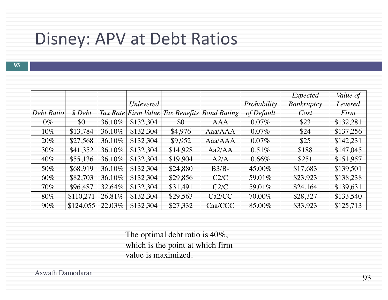### Disney: APV at Debt Ratios

**93**

|            |           |        |                  |          |                                              |             | Expected          | Value of  |
|------------|-----------|--------|------------------|----------|----------------------------------------------|-------------|-------------------|-----------|
|            |           |        | <b>Unlevered</b> |          |                                              | Probability | <b>Bankruptcy</b> | Levered   |
| Debt Ratio | \$Debt    |        |                  |          | Tax Rate Firm Value Tax Benefits Bond Rating | of Default  | Cost              | Firm      |
| $0\%$      | \$0       | 36.10% | \$132,304        | \$0      | AAA                                          | $0.07\%$    | \$23              | \$132,281 |
| $10\%$     | \$13,784  | 36.10% | \$132,304        | \$4,976  | Aaa/AAA                                      | $0.07\%$    | \$24              | \$137,256 |
| 20%        | \$27,568  | 36.10% | \$132,304        | \$9,952  | Aaa/AAA                                      | $0.07\%$    | \$25              | \$142,231 |
| $30\%$     | \$41,352  | 36.10% | \$132,304        | \$14,928 | Aa2/AA                                       | 0.51%       | \$188             | \$147,045 |
| $40\%$     | \$55,136  | 36.10% | \$132,304        | \$19,904 | A2/A                                         | $0.66\%$    | \$251             | \$151,957 |
| 50%        | \$68.919  | 36.10% | \$132,304        | \$24,880 | $B3/B$ -                                     | 45.00%      | \$17,683          | \$139,501 |
| 60%        | \$82,703  | 36.10% | \$132,304        | \$29,856 | C2/C                                         | 59.01%      | \$23,923          | \$138,238 |
| $70\%$     | \$96,487  | 32.64% | \$132,304        | \$31,491 | C2/C                                         | 59.01%      | \$24,164          | \$139,631 |
| 80%        | \$110,271 | 26.81% | \$132,304        | \$29,563 | Ca2/CC                                       | 70.00%      | \$28,327          | \$133,540 |
| $90\%$     | \$124,055 | 22.03% | \$132,304        | \$27,332 | Caa/CCC                                      | 85.00%      | \$33,923          | \$125,713 |

The optimal debt ratio is 40%, which is the point at which firm value is maximized.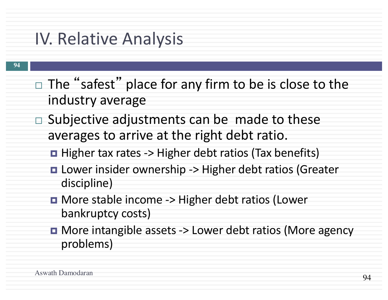# IV. Relative Analysis

- $\Box$  The "safest" place for any firm to be is close to the industry average
- $\Box$  Subjective adjustments can be made to these averages to arrive at the right debt ratio.
	- $\blacksquare$  Higher tax rates -> Higher debt ratios (Tax benefits)
	- **□ Lower insider ownership -> Higher debt ratios (Greater** discipline)
	- **□ More stable income -> Higher debt ratios (Lower** bankruptcy costs)
	- **□** More intangible assets -> Lower debt ratios (More agency problems)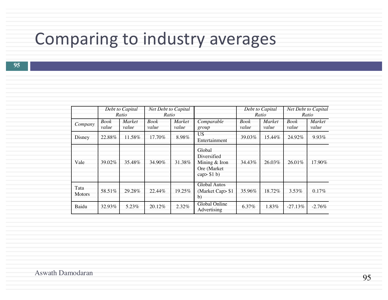# Comparing to industry averages

|                       |                      | Debt to Capital<br>Ratio | Net Debt to Capital<br>Ratio |                 |                                                                          |                      | Debt to Capital<br>Ratio |                      | Net Debt to Capital<br>Ratio |
|-----------------------|----------------------|--------------------------|------------------------------|-----------------|--------------------------------------------------------------------------|----------------------|--------------------------|----------------------|------------------------------|
| Company               | <b>Book</b><br>value | Market<br>value          | <b>Book</b><br>value         | Market<br>value | Comparable<br>group                                                      | <b>Book</b><br>value | Market<br>value          | <b>Book</b><br>value | Market<br>value              |
| Disney                | 22.88%               | 11.58%                   | 17.70%                       | 8.98%           | US.<br>Entertainment                                                     | 39.03%               | 15.44%                   | 24.92%               | 9.93%                        |
| Vale                  | 39.02%               | 35.48%                   | 34.90%                       | 31.38%          | Global<br>Diversified<br>Mining & Iron<br>Ore (Market)<br>cap $>$ \$1 b) | 34.43%               | 26.03%                   | 26.01%               | 17.90%                       |
| Tata<br><b>Motors</b> | 58.51%               | 29.28%                   | 22.44%                       | 19.25%          | <b>Global Autos</b><br>(Market Cap> \$1<br>$\mathbf{b}$                  | 35.96%               | 18.72%                   | 3.53%                | 0.17%                        |
| Baidu                 | 32.93%               | 5.23%                    | 20.12%                       | 2.32%           | Global Online<br>Advertising                                             | 6.37%                | 1.83%                    | $-27.13%$            | $-2.76%$                     |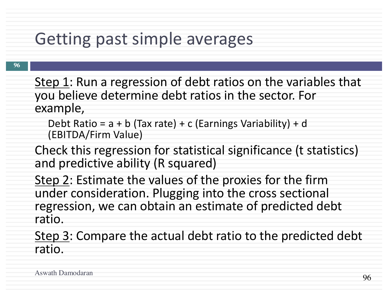# Getting past simple averages

- Step 1: Run a regression of debt ratios on the variables that you believe determine debt ratios in the sector. For example,
	- Debt Ratio =  $a + b$  (Tax rate) + c (Earnings Variability) + d (EBITDA/Firm Value)
- Check this regression for statistical significance (t statistics) and predictive ability (R squared)
- Step 2: Estimate the values of the proxies for the firm under consideration. Plugging into the cross sectional regression, we can obtain an estimate of predicted debt ratio.
- Step 3: Compare the actual debt ratio to the predicted debt ratio.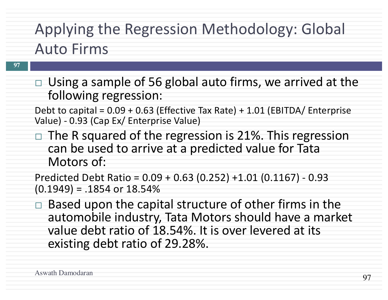# Applying the Regression Methodology: Global Auto Firms

 $\Box$  Using a sample of 56 global auto firms, we arrived at the following regression:

Debt to capital = 0.09 + 0.63 (Effective Tax Rate) + 1.01 (EBITDA/ Enterprise Value) - 0.93 (Cap Ex/ Enterprise Value)

 $\Box$  The R squared of the regression is 21%. This regression can be used to arrive at a predicted value for Tata Motors of:

Predicted Debt Ratio = 0.09 + 0.63 (0.252) +1.01 (0.1167) - 0.93  $(0.1949) = .1854$  or  $18.54%$ 

 $\Box$  Based upon the capital structure of other firms in the automobile industry, Tata Motors should have a market value debt ratio of 18.54%. It is over levered at its existing debt ratio of 29.28%.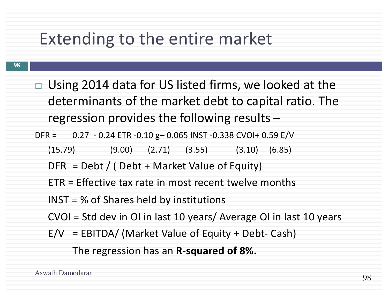# Extending to the entire market

- **98**
- $\Box$  Using 2014 data for US listed firms, we looked at the determinants of the market debt to capital ratio. The regression provides the following results –
- DFR = 0.27 0.24 ETR -0.10 g– 0.065 INST -0.338 CVOI+ 0.59 E/V
	- (15.79) (9.00) (2.71) (3.55) (3.10) (6.85)
	- $DFR = Debt / (Debt + Market Value of Equity)$
	- ETR = Effective tax rate in most recent twelve months
	- INST = % of Shares held by institutions
	- CVOI = Std dev in OI in last 10 years/ Average OI in last 10 years
	- $E/V = EBITDA / (Market Value of Equity + Debt-Cash)$

The regression has an **R-squared of 8%.**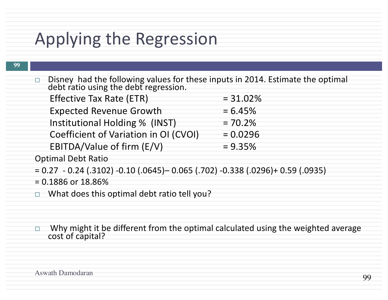# Applying the Regression

 $\Box$  Disney had the following values for these inputs in 2014. Estimate the optimal debt ratio using the debt regression.

| <b>Effective Tax Rate (ETR)</b>       | $= 31.02%$ |
|---------------------------------------|------------|
| <b>Expected Revenue Growth</b>        | $= 6.45%$  |
| Institutional Holding % (INST)        | $= 70.2%$  |
| Coefficient of Variation in OI (CVOI) | $= 0.0296$ |
| EBITDA/Value of firm (E/V)            | $= 9.35\%$ |

Optimal Debt Ratio

= 0.27 - 0.24 (.3102) -0.10 (.0645)– 0.065 (.702) -0.338 (.0296)+ 0.59 (.0935)

 $= 0.1886$  or  $18.86\%$ 

 $\Box$  What does this optimal debt ratio tell you?

 $\Box$  Why might it be different from the optimal calculated using the weighted average cost of capital?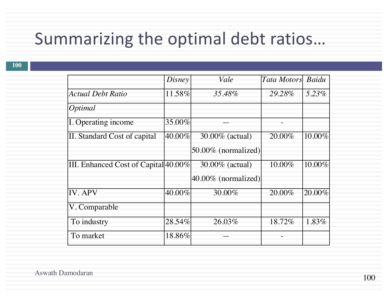# Summarizing the optimal debt ratios…

|                                      | Disney               | Vale                          | <b>Tata Motors</b> | Baidu  |
|--------------------------------------|----------------------|-------------------------------|--------------------|--------|
| <b>Actual Debt Ratio</b>             | 11.58%               | 35.48%                        | 29.28%             | 5.23%  |
| Optimal                              |                      |                               |                    |        |
| I. Operating income                  | 35.00%               |                               |                    |        |
| II. Standard Cost of capital         | $\overline{40.00\%}$ | $\overline{30.00\%}$ (actual) | 20.00%             | 10.00% |
|                                      |                      | $50.00\%$ (normalized)        |                    |        |
| III. Enhanced Cost of Capital 40.00% |                      | 30.00% (actual)               | 10.00%             | 10.00% |
|                                      |                      | $40.00\%$ (normalized)        |                    |        |
| <b>IV. APV</b>                       | 40.00%               | 30.00%                        | 20.00%             | 20.00% |
| V. Comparable                        |                      |                               |                    |        |
| To industry                          | 28.54%               | 26.03%                        | 18.72%             | 1.83%  |
| To market                            | 18.86%               |                               |                    |        |

Aswath Damodaran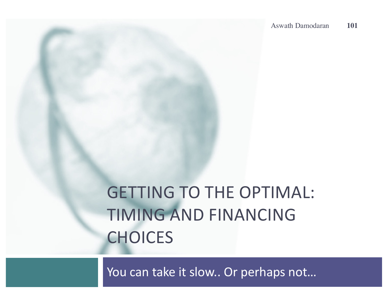# GETTING TO THE OPTIMAL: TIMING AND FINANCING **CHOICES**

You can take it slow.. Or perhaps not…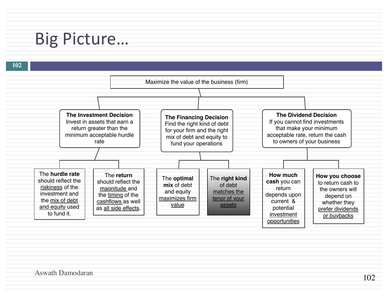## Big Picture…

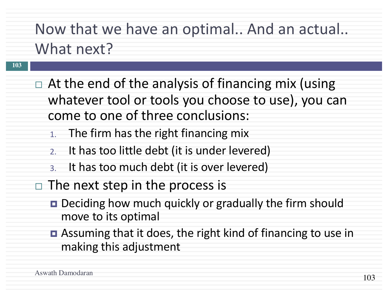# Now that we have an optimal.. And an actual.. What next?

- **103**
- $\Box$  At the end of the analysis of financing mix (using whatever tool or tools you choose to use), you can come to one of three conclusions:
	- 1. The firm has the right financing mix
	- 2. It has too little debt (it is under levered)
	- 3. It has too much debt (it is over levered)
- $\Box$  The next step in the process is
	- Deciding how much quickly or gradually the firm should move to its optimal
	- Assuming that it does, the right kind of financing to use in making this adjustment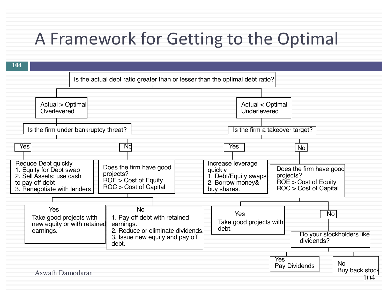# A Framework for Getting to the Optimal

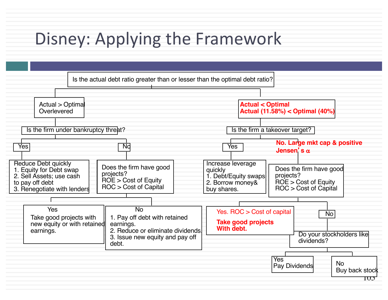# Disney: Applying the Framework

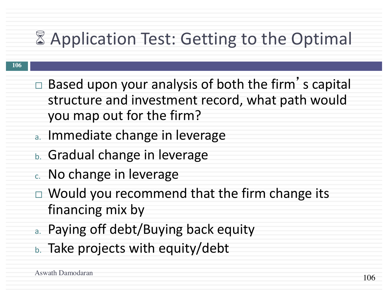# **8 Application Test: Getting to the Optimal**

- $\Box$  Based upon your analysis of both the firm's capital structure and investment record, what path would you map out for the firm?
- a. Immediate change in leverage
- b. Gradual change in leverage
- c. No change in leverage
- $\Box$  Would you recommend that the firm change its financing mix by
- a. Paying off debt/Buying back equity
- b. Take projects with equity/debt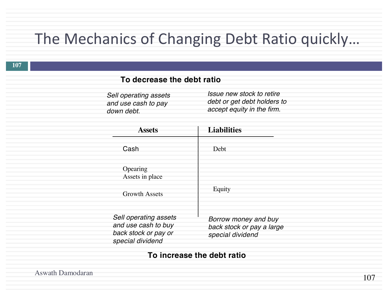#### The Mechanics of Changing Debt Ratio quickly…

#### **To decrease the debt ratio**

*Sell operating assets and use cash to pay down debt.*

*Issue new stock to retire debt or get debt holders to accept equity in the firm.*

| <b>Assets</b>                                                                            | <b>Liabilities</b>                                                    |  |  |
|------------------------------------------------------------------------------------------|-----------------------------------------------------------------------|--|--|
| Cash                                                                                     | Debt                                                                  |  |  |
| Opearing<br>Assets in place<br><b>Growth Assets</b>                                      | Equity                                                                |  |  |
| Sell operating assets<br>and use cash to buy<br>back stock or pay or<br>special dividend | Borrow money and buy<br>back stock or pay a large<br>special dividend |  |  |

#### **To increase the debt ratio**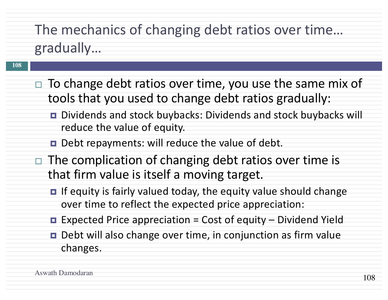### The mechanics of changing debt ratios over time… gradually…

- $\Box$  To change debt ratios over time, you use the same mix of tools that you used to change debt ratios gradually:
	- ¤ Dividends and stock buybacks: Dividends and stock buybacks will reduce the value of equity.
	- $\blacksquare$  Debt repayments: will reduce the value of debt.
- The complication of changing debt ratios over time is that firm value is itself a moving target.
	- **□** If equity is fairly valued today, the equity value should change over time to reflect the expected price appreciation:
	- $\blacksquare$  Expected Price appreciation = Cost of equity Dividend Yield
	- Debt will also change over time, in conjunction as firm value changes.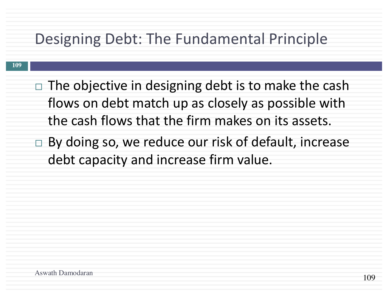#### Designing Debt: The Fundamental Principle

- $\Box$  The objective in designing debt is to make the cash flows on debt match up as closely as possible with the cash flows that the firm makes on its assets.
- $\Box$  By doing so, we reduce our risk of default, increase debt capacity and increase firm value.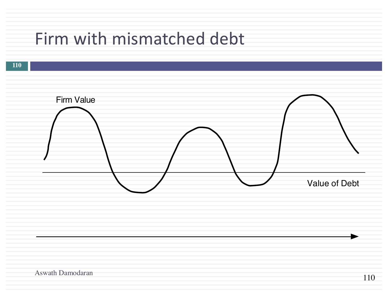# Firm with mismatched debt

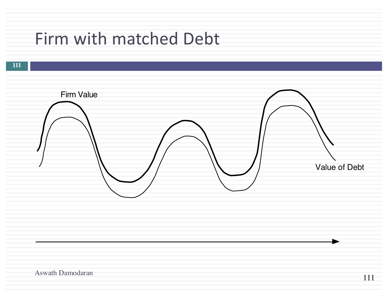# Firm with matched Debt



111

Aswath Damodaran